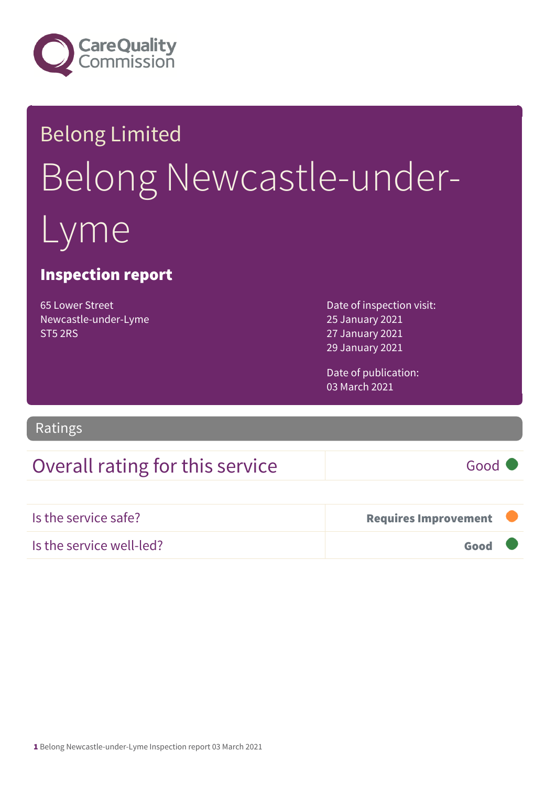

# Belong Limited Belong Newcastle-underme

### Inspection report

65 Lower Street Newcastle-under-Lyme ST5 2RS

Date of inspection visit: 25 January 2021 27 January 2021 29 January 2021

Date of publication: 03 March 2021

Ratings

## Overall rating for this service Good

Is the service safe? The service safe of the service safe of the service safe of the service safe of the service safe of the service safe of the service safe of the service service service service service service service s Is the service well-led? Good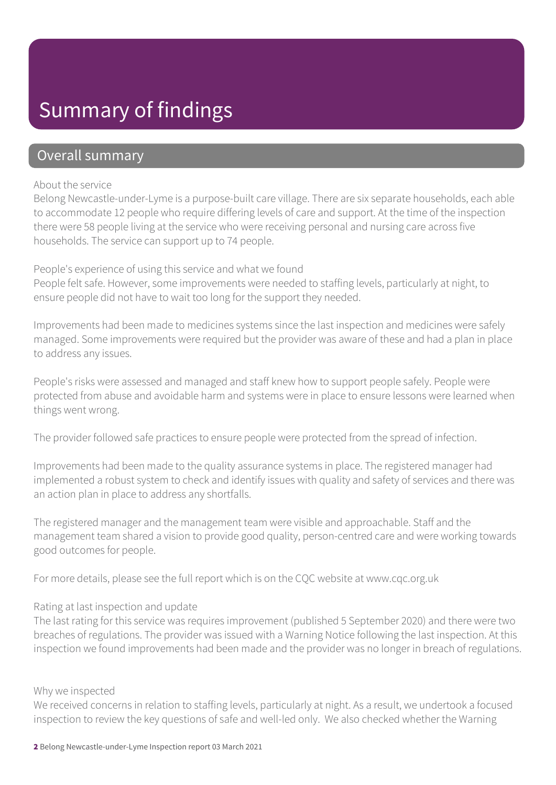## Summary of findings

### Overall summary

#### About the service

Belong Newcastle-under-Lyme is a purpose-built care village. There are six separate households, each able to accommodate 12 people who require differing levels of care and support. At the time of the inspection there were 58 people living at the service who were receiving personal and nursing care across five households. The service can support up to 74 people.

People's experience of using this service and what we found People felt safe. However, some improvements were needed to staffing levels, particularly at night, to ensure people did not have to wait too long for the support they needed.

Improvements had been made to medicines systems since the last inspection and medicines were safely managed. Some improvements were required but the provider was aware of these and had a plan in place to address any issues.

People's risks were assessed and managed and staff knew how to support people safely. People were protected from abuse and avoidable harm and systems were in place to ensure lessons were learned when things went wrong.

The provider followed safe practices to ensure people were protected from the spread of infection.

Improvements had been made to the quality assurance systems in place. The registered manager had implemented a robust system to check and identify issues with quality and safety of services and there was an action plan in place to address any shortfalls.

The registered manager and the management team were visible and approachable. Staff and the management team shared a vision to provide good quality, person-centred care and were working towards good outcomes for people.

For more details, please see the full report which is on the CQC website at www.cqc.org.uk

#### Rating at last inspection and update

The last rating for this service was requires improvement (published 5 September 2020) and there were two breaches of regulations. The provider was issued with a Warning Notice following the last inspection. At this inspection we found improvements had been made and the provider was no longer in breach of regulations.

#### Why we inspected

We received concerns in relation to staffing levels, particularly at night. As a result, we undertook a focused inspection to review the key questions of safe and well-led only. We also checked whether the Warning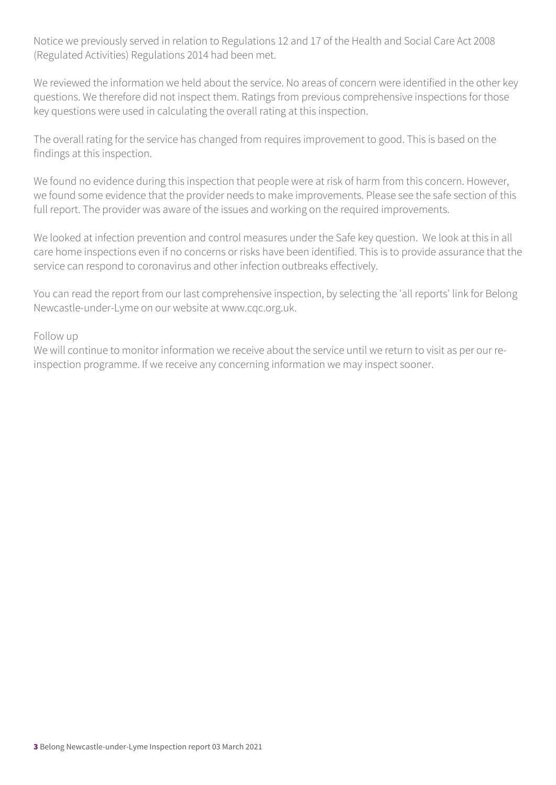Notice we previously served in relation to Regulations 12 and 17 of the Health and Social Care Act 2008 (Regulated Activities) Regulations 2014 had been met.

We reviewed the information we held about the service. No areas of concern were identified in the other key questions. We therefore did not inspect them. Ratings from previous comprehensive inspections for those key questions were used in calculating the overall rating at this inspection.

The overall rating for the service has changed from requires improvement to good. This is based on the findings at this inspection.

We found no evidence during this inspection that people were at risk of harm from this concern. However, we found some evidence that the provider needs to make improvements. Please see the safe section of this full report. The provider was aware of the issues and working on the required improvements.

We looked at infection prevention and control measures under the Safe key question. We look at this in all care home inspections even if no concerns or risks have been identified. This is to provide assurance that the service can respond to coronavirus and other infection outbreaks effectively.

You can read the report from our last comprehensive inspection, by selecting the 'all reports' link for Belong Newcastle-under-Lyme on our website at www.cqc.org.uk.

#### Follow up

We will continue to monitor information we receive about the service until we return to visit as per our reinspection programme. If we receive any concerning information we may inspect sooner.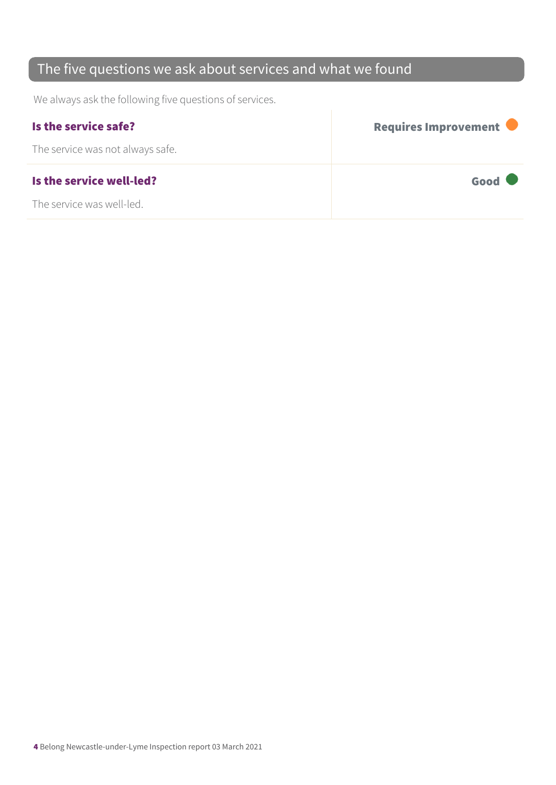## The five questions we ask about services and what we found

We always ask the following five questions of services.

| Is the service safe?             | Requires Improvement |
|----------------------------------|----------------------|
| The service was not always safe. |                      |
| Is the service well-led?         | Good                 |
| The service was well-led.        |                      |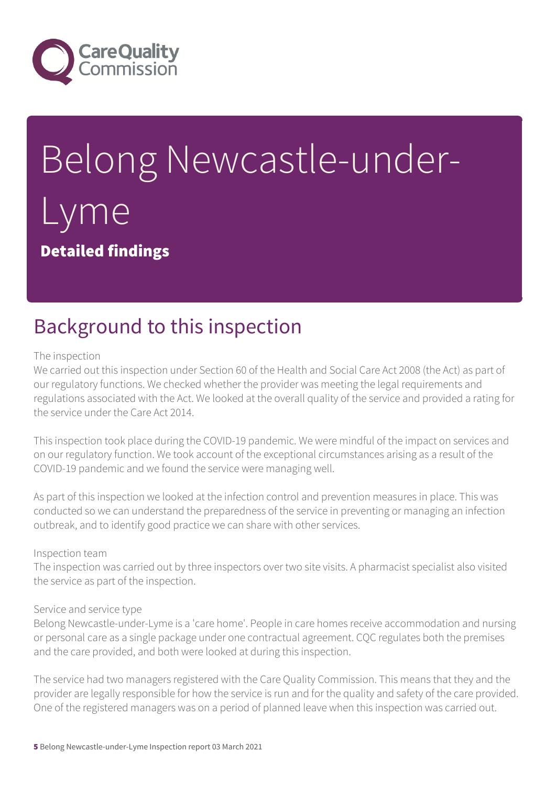

# Belong Newcastle-under-Lyme Detailed findings

# Background to this inspection

#### The inspection

We carried out this inspection under Section 60 of the Health and Social Care Act 2008 (the Act) as part of our regulatory functions. We checked whether the provider was meeting the legal requirements and regulations associated with the Act. We looked at the overall quality of the service and provided a rating for the service under the Care Act 2014.

This inspection took place during the COVID-19 pandemic. We were mindful of the impact on services and on our regulatory function. We took account of the exceptional circumstances arising as a result of the COVID-19 pandemic and we found the service were managing well.

As part of this inspection we looked at the infection control and prevention measures in place. This was conducted so we can understand the preparedness of the service in preventing or managing an infection outbreak, and to identify good practice we can share with other services.

#### Inspection team

The inspection was carried out by three inspectors over two site visits. A pharmacist specialist also visited the service as part of the inspection.

#### Service and service type

Belong Newcastle-under-Lyme is a 'care home'. People in care homes receive accommodation and nursing or personal care as a single package under one contractual agreement. CQC regulates both the premises and the care provided, and both were looked at during this inspection.

The service had two managers registered with the Care Quality Commission. This means that they and the provider are legally responsible for how the service is run and for the quality and safety of the care provided. One of the registered managers was on a period of planned leave when this inspection was carried out.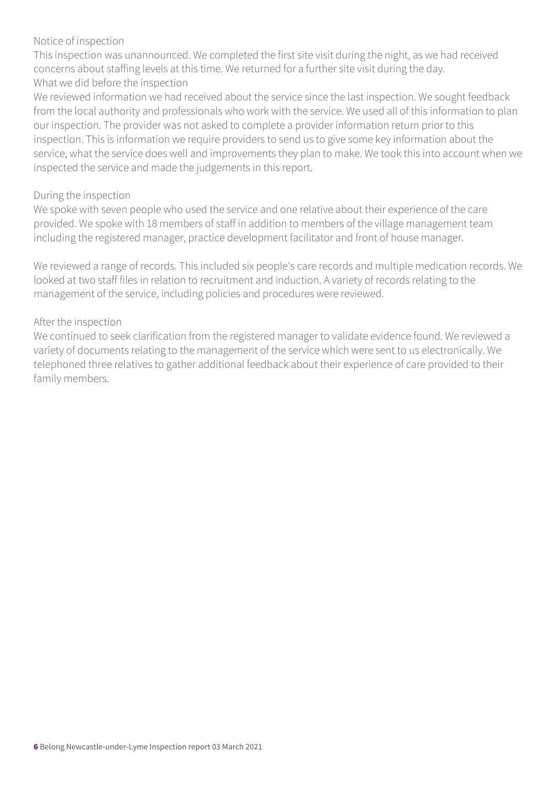#### Notice of inspection

This inspection was unannounced. We completed the first site visit during the night, as we had received concerns about staffing levels at this time. We returned for a further site visit during the day. What we did before the inspection

We reviewed information we had received about the service since the last inspection. We sought feedback from the local authority and professionals who work with the service. We used all of this information to plan our inspection. The provider was not asked to complete a provider information return prior to this inspection. This is information we require providers to send us to give some key information about the service, what the service does well and improvements they plan to make. We took this into account when we inspected the service and made the judgements in this report.

#### During the inspection

We spoke with seven people who used the service and one relative about their experience of the care provided. We spoke with 18 members of staff in addition to members of the village management team including the registered manager, practice development facilitator and front of house manager.

We reviewed a range of records. This included six people's care records and multiple medication records. We looked at two staff files in relation to recruitment and induction. A variety of records relating to the management of the service, including policies and procedures were reviewed.

#### After the inspection

We continued to seek clarification from the registered manager to validate evidence found. We reviewed a variety of documents relating to the management of the service which were sent to us electronically. We telephoned three relatives to gather additional feedback about their experience of care provided to their family members.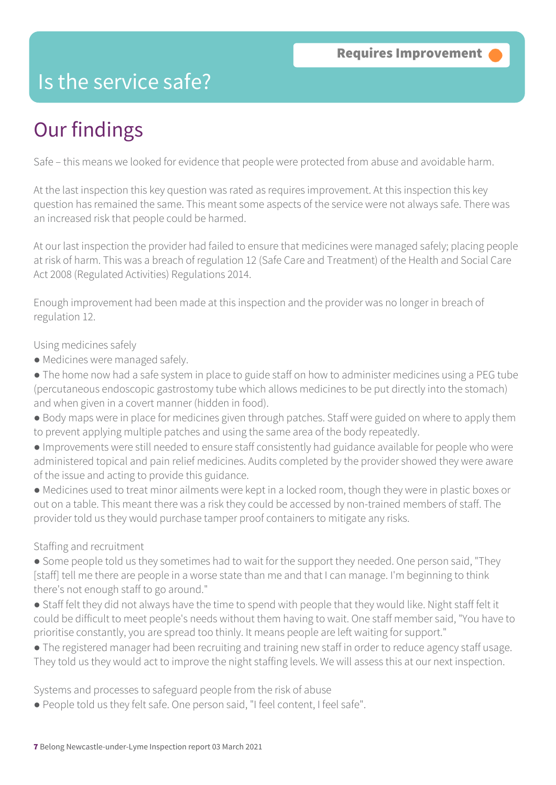## Is the service safe?

# Our findings

Safe – this means we looked for evidence that people were protected from abuse and avoidable harm.

At the last inspection this key question was rated as requires improvement. At this inspection this key question has remained the same. This meant some aspects of the service were not always safe. There was an increased risk that people could be harmed.

At our last inspection the provider had failed to ensure that medicines were managed safely; placing people at risk of harm. This was a breach of regulation 12 (Safe Care and Treatment) of the Health and Social Care Act 2008 (Regulated Activities) Regulations 2014.

Enough improvement had been made at this inspection and the provider was no longer in breach of regulation 12.

#### Using medicines safely

- Medicines were managed safely.
- The home now had a safe system in place to guide staff on how to administer medicines using a PEG tube (percutaneous endoscopic gastrostomy tube which allows medicines to be put directly into the stomach) and when given in a covert manner (hidden in food).
- Body maps were in place for medicines given through patches. Staff were guided on where to apply them to prevent applying multiple patches and using the same area of the body repeatedly.
- Improvements were still needed to ensure staff consistently had guidance available for people who were administered topical and pain relief medicines. Audits completed by the provider showed they were aware of the issue and acting to provide this guidance.
- Medicines used to treat minor ailments were kept in a locked room, though they were in plastic boxes or out on a table. This meant there was a risk they could be accessed by non-trained members of staff. The provider told us they would purchase tamper proof containers to mitigate any risks.

#### Staffing and recruitment

- Some people told us they sometimes had to wait for the support they needed. One person said, "They [staff] tell me there are people in a worse state than me and that I can manage. I'm beginning to think there's not enough staff to go around."
- Staff felt they did not always have the time to spend with people that they would like. Night staff felt it could be difficult to meet people's needs without them having to wait. One staff member said, "You have to prioritise constantly, you are spread too thinly. It means people are left waiting for support."
- The registered manager had been recruiting and training new staff in order to reduce agency staff usage. They told us they would act to improve the night staffing levels. We will assess this at our next inspection.

Systems and processes to safeguard people from the risk of abuse

● People told us they felt safe. One person said, "I feel content, I feel safe".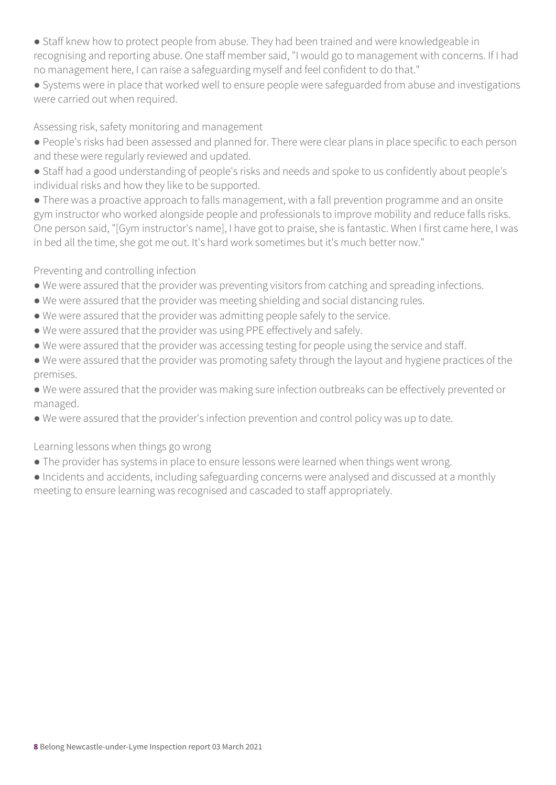- Staff knew how to protect people from abuse. They had been trained and were knowledgeable in recognising and reporting abuse. One staff member said, "I would go to management with concerns. If I had no management here, I can raise a safeguarding myself and feel confident to do that."
- Systems were in place that worked well to ensure people were safeguarded from abuse and investigations were carried out when required.

#### Assessing risk, safety monitoring and management

- People's risks had been assessed and planned for. There were clear plans in place specific to each person and these were regularly reviewed and updated.
- Staff had a good understanding of people's risks and needs and spoke to us confidently about people's individual risks and how they like to be supported.
- There was a proactive approach to falls management, with a fall prevention programme and an onsite gym instructor who worked alongside people and professionals to improve mobility and reduce falls risks. One person said, "[Gym instructor's name], I have got to praise, she is fantastic. When I first came here, I was in bed all the time, she got me out. It's hard work sometimes but it's much better now."

#### Preventing and controlling infection

- We were assured that the provider was preventing visitors from catching and spreading infections.
- We were assured that the provider was meeting shielding and social distancing rules.
- We were assured that the provider was admitting people safely to the service.
- We were assured that the provider was using PPE effectively and safely.
- We were assured that the provider was accessing testing for people using the service and staff.
- We were assured that the provider was promoting safety through the layout and hygiene practices of the premises.
- We were assured that the provider was making sure infection outbreaks can be effectively prevented or managed.
- We were assured that the provider's infection prevention and control policy was up to date.

#### Learning lessons when things go wrong

- The provider has systems in place to ensure lessons were learned when things went wrong.
- Incidents and accidents, including safeguarding concerns were analysed and discussed at a monthly meeting to ensure learning was recognised and cascaded to staff appropriately.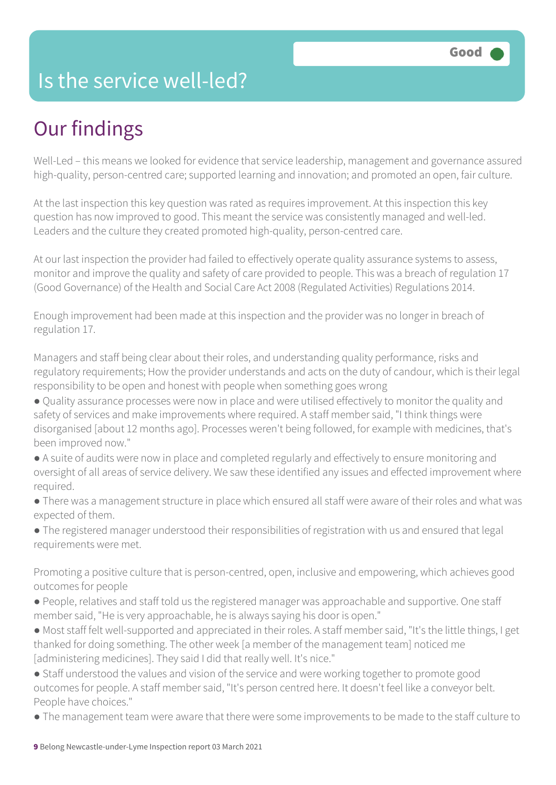## Is the service well-led?

# Our findings

Well-Led – this means we looked for evidence that service leadership, management and governance assured high-quality, person-centred care; supported learning and innovation; and promoted an open, fair culture.

At the last inspection this key question was rated as requires improvement. At this inspection this key question has now improved to good. This meant the service was consistently managed and well-led. Leaders and the culture they created promoted high-quality, person-centred care.

At our last inspection the provider had failed to effectively operate quality assurance systems to assess, monitor and improve the quality and safety of care provided to people. This was a breach of regulation 17 (Good Governance) of the Health and Social Care Act 2008 (Regulated Activities) Regulations 2014.

Enough improvement had been made at this inspection and the provider was no longer in breach of regulation 17.

Managers and staff being clear about their roles, and understanding quality performance, risks and regulatory requirements; How the provider understands and acts on the duty of candour, which is their legal responsibility to be open and honest with people when something goes wrong

- Quality assurance processes were now in place and were utilised effectively to monitor the quality and safety of services and make improvements where required. A staff member said, "I think things were disorganised [about 12 months ago]. Processes weren't being followed, for example with medicines, that's been improved now."
- A suite of audits were now in place and completed regularly and effectively to ensure monitoring and oversight of all areas of service delivery. We saw these identified any issues and effected improvement where required.
- There was a management structure in place which ensured all staff were aware of their roles and what was expected of them.
- The registered manager understood their responsibilities of registration with us and ensured that legal requirements were met.

Promoting a positive culture that is person-centred, open, inclusive and empowering, which achieves good outcomes for people

- People, relatives and staff told us the registered manager was approachable and supportive. One staff member said, "He is very approachable, he is always saying his door is open."
- Most staff felt well-supported and appreciated in their roles. A staff member said, "It's the little things, I get thanked for doing something. The other week [a member of the management team] noticed me [administering medicines]. They said I did that really well. It's nice."
- Staff understood the values and vision of the service and were working together to promote good outcomes for people. A staff member said, "It's person centred here. It doesn't feel like a conveyor belt. People have choices."
- The management team were aware that there were some improvements to be made to the staff culture to